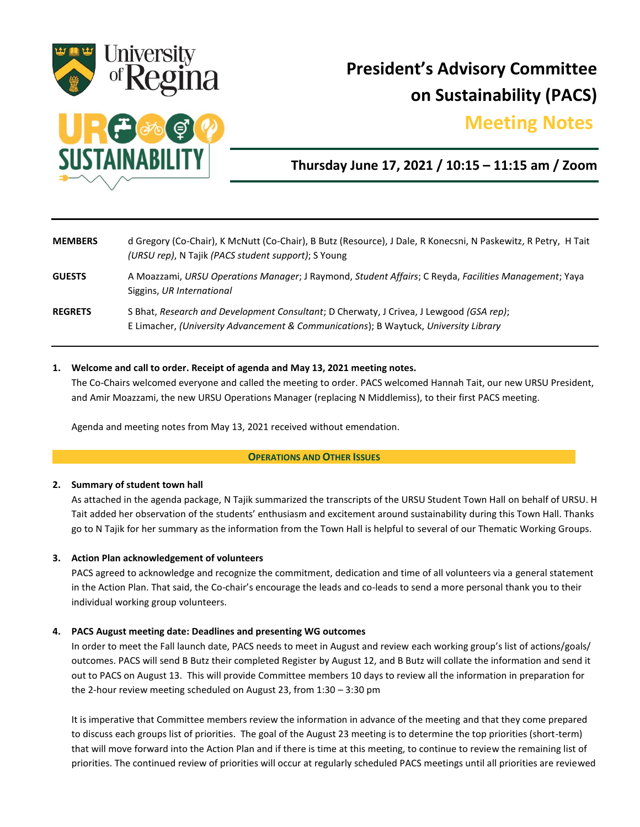

# **President's Advisory Committee on Sustainability (PACS)**

# **Meeting Notes.**



## **Thursday June 17, 2021 / 10:15 – 11:15 am / Zoom**

| <b>MEMBERS</b> | d Gregory (Co-Chair), K McNutt (Co-Chair), B Butz (Resource), J Dale, R Konecsni, N Paskewitz, R Petry, H Tait<br>(URSU rep), N Tajik (PACS student support); S Young           |
|----------------|---------------------------------------------------------------------------------------------------------------------------------------------------------------------------------|
| <b>GUESTS</b>  | A Moazzami, URSU Operations Manager; J Raymond, Student Affairs; C Reyda, Facilities Management; Yaya<br>Siggins, UR International                                              |
| <b>REGRETS</b> | S Bhat, Research and Development Consultant; D Cherwaty, J Crivea, J Lewgood (GSA rep);<br>E Limacher, (University Advancement & Communications); B Waytuck, University Library |

#### **1. Welcome and call to order. Receipt of agenda and May 13, 2021 meeting notes.**

The Co-Chairs welcomed everyone and called the meeting to order. PACS welcomed Hannah Tait, our new URSU President, and Amir Moazzami, the new URSU Operations Manager (replacing N Middlemiss), to their first PACS meeting.

Agenda and meeting notes from May 13, 2021 received without emendation.

#### **OPERATIONS AND OTHER ISSUES**

#### **2. Summary of student town hall**

As attached in the agenda package, N Tajik summarized the transcripts of the URSU Student Town Hall on behalf of URSU. H Tait added her observation of the students' enthusiasm and excitement around sustainability during this Town Hall. Thanks go to N Tajik for her summary as the information from the Town Hall is helpful to several of our Thematic Working Groups.

#### **3. Action Plan acknowledgement of volunteers**

PACS agreed to acknowledge and recognize the commitment, dedication and time of all volunteers via a general statement in the Action Plan. That said, the Co-chair's encourage the leads and co-leads to send a more personal thank you to their individual working group volunteers.

#### **4. PACS August meeting date: Deadlines and presenting WG outcomes**

In order to meet the Fall launch date, PACS needs to meet in August and review each working group's list of actions/goals/ outcomes. PACS will send B Butz their completed Register by August 12, and B Butz will collate the information and send it out to PACS on August 13. This will provide Committee members 10 days to review all the information in preparation for the 2-hour review meeting scheduled on August 23, from 1:30 – 3:30 pm

It is imperative that Committee members review the information in advance of the meeting and that they come prepared to discuss each groups list of priorities. The goal of the August 23 meeting is to determine the top priorities (short-term) that will move forward into the Action Plan and if there is time at this meeting, to continue to review the remaining list of priorities. The continued review of priorities will occur at regularly scheduled PACS meetings until all priorities are reviewed